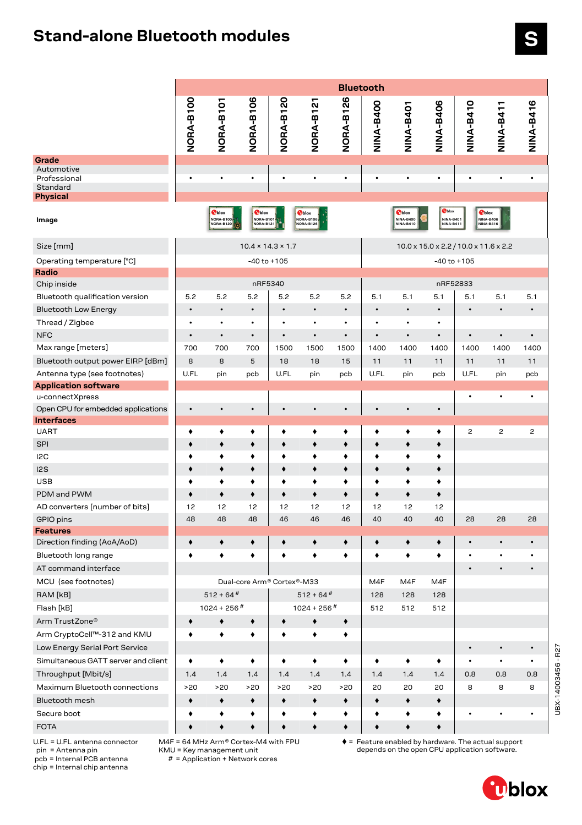## **Stand-alone Bluetooth modules**

|                                     | <b>Bluetooth</b> |                            |                                         |                               |                                         |           |                  |                                         |                                                |                |                                                |                |
|-------------------------------------|------------------|----------------------------|-----------------------------------------|-------------------------------|-----------------------------------------|-----------|------------------|-----------------------------------------|------------------------------------------------|----------------|------------------------------------------------|----------------|
|                                     | NORA-B100        | NORA-B101                  | NORA-B106                               | NORA-B120                     | NORA-B12                                | NORA-B126 | <b>NINA-B400</b> | <b>TOPA-B401</b>                        | NINA-B406                                      | NINA-B410      | <b>NINA-B411</b>                               | NINA-B416      |
| Grade                               |                  |                            |                                         |                               |                                         |           |                  |                                         |                                                |                |                                                |                |
| Automotive<br>Professional          | $\bullet$        | $\bullet$                  |                                         | ٠                             | $\bullet$                               | $\bullet$ | $\bullet$        | $\bullet$                               | $\bullet$                                      | ٠              | ٠                                              |                |
| Standard                            |                  |                            |                                         |                               |                                         |           |                  |                                         |                                                |                |                                                |                |
| Physical                            |                  |                            |                                         |                               |                                         |           |                  |                                         |                                                |                |                                                |                |
| Image                               |                  | <b>T</b> blox<br>NORA-B100 | <b>T</b> blox<br>NORA-B101<br>NORA-B121 |                               | <b>T</b> blox<br>NORA-B106<br>NORA-B126 |           |                  | <b>T</b> blox<br>NINA-B400<br>NINA-R410 | <b>O</b> blox<br>NINA-B401<br><b>NINA-B411</b> |                | <b>T</b> blox<br><b>NINA-B406</b><br>NINA-R416 |                |
| Size [mm]                           |                  |                            |                                         | $10.4 \times 14.3 \times 1.7$ |                                         |           |                  |                                         | 10.0 x 15.0 x 2.2 / 10.0 x 11.6 x 2.2          |                |                                                |                |
| Operating temperature [°C]          |                  |                            |                                         | $-40$ to $+105$               |                                         |           |                  |                                         | $-40$ to $+105$                                |                |                                                |                |
| Radio                               |                  |                            |                                         |                               |                                         |           |                  |                                         |                                                |                |                                                |                |
| Chip inside                         |                  |                            |                                         | nRF5340                       |                                         |           |                  |                                         | nRF52833                                       |                |                                                |                |
| Bluetooth qualification version     | 5.2              | 5.2                        | 5.2                                     | 5.2                           | 5.2                                     | 5.2       | 5.1              | 5.1                                     | 5.1                                            | 5.1            | 5.1                                            | 5.1            |
| <b>Bluetooth Low Energy</b>         | $\bullet$        | $\bullet$                  | $\bullet$                               | $\bullet$                     | $\bullet$                               | $\bullet$ | $\bullet$        | $\bullet$                               | $\bullet$                                      | $\bullet$      | $\bullet$                                      | $\bullet$      |
| Thread / Zigbee                     | $\bullet$        | $\bullet$                  | $\bullet$                               |                               | $\bullet$                               | $\bullet$ |                  |                                         | $\bullet$                                      |                |                                                |                |
| <b>NFC</b>                          | $\bullet$        | $\bullet$                  | $\bullet$                               | $\bullet$                     | $\bullet$                               | $\bullet$ | $\bullet$        | $\bullet$                               | $\bullet$                                      | $\bullet$      | $\bullet$                                      | $\bullet$      |
| Max range [meters]                  | 700              | 700                        | 700                                     | 1500                          | 1500                                    | 1500      | 1400             | 1400                                    | 1400                                           | 1400           | 1400                                           | 1400           |
| Bluetooth output power EIRP [dBm]   | 8                | 8                          | 5                                       | 18                            | 18                                      | 15        | 11               | 11                                      | 11                                             | 11             | 11                                             | 11             |
| Antenna type (see footnotes)        | U.FL             | pin                        | pcb                                     | U.FL                          | pin                                     | pcb       | U.FL             | pin                                     | pcb                                            | U.FL           | pin                                            | pcb            |
| <b>Application software</b>         |                  |                            |                                         |                               |                                         |           |                  |                                         |                                                |                |                                                |                |
| u-connectXpress                     |                  |                            |                                         |                               |                                         |           |                  |                                         |                                                | $\bullet$      | $\bullet$                                      | $\bullet$      |
| Open CPU for embedded applications  | $\bullet$        | $\bullet$                  | $\bullet$                               | $\bullet$                     | $\bullet$                               | $\bullet$ | $\bullet$        | $\bullet$                               | $\bullet$                                      |                |                                                |                |
| <b>Interfaces</b>                   |                  |                            |                                         |                               |                                         |           |                  |                                         |                                                |                |                                                |                |
| <b>UART</b>                         | ٠                | ٠                          | ٠                                       | ٠                             | ٠                                       | ٠         | ٠                | ٠                                       | ٠                                              | $\overline{c}$ | 2                                              | $\overline{c}$ |
| <b>SPI</b>                          | ٠                | ٠                          | ٠                                       | ۰                             | ٠                                       | ٠         | ٠                | ٠                                       | ٠                                              |                |                                                |                |
| I <sub>2</sub> C                    | ٠                | ٠                          | ٠                                       | ٠                             | ٠                                       | ٠         | ٠                | ٠                                       | ٠                                              |                |                                                |                |
| 12S                                 | ٠                | ۰                          | ٠                                       | ٠                             | ٠                                       | ٠         | ٠                | ۰                                       | ٠                                              |                |                                                |                |
| <b>USB</b>                          | ٠                | ٠                          | ٠                                       | ٠                             | ٠                                       | ٠         | ٠                | ٠                                       | ٠                                              |                |                                                |                |
| PDM and PWM                         | ٠                | ۰                          | ٠                                       | ۰                             | ۰                                       | ٠         | ٠                | ٠                                       | ۰                                              |                |                                                |                |
| AD converters [number of bits]      | 12               | 12                         | 12                                      | 12                            | 12                                      | 12        | 12               | 12                                      | 12                                             |                |                                                |                |
| GPIO pins                           | 48               | 48                         | 48                                      | 46                            | 46                                      | 46        | 40               | 40                                      | 40                                             | 28             | 28                                             | 28             |
| <b>Features</b>                     |                  |                            |                                         |                               |                                         |           |                  |                                         |                                                |                |                                                |                |
| Direction finding (AoA/AoD)         | ٠                | ٠                          | ٠                                       | ٠                             | ٠                                       | ٠         | ٠                | ٠                                       | ٠                                              | $\bullet$      | $\bullet$                                      |                |
| Bluetooth long range                | ٠                | ٠                          | ٠                                       | ٠                             | ٠                                       | ٠         | ٠                | ٠                                       | ٠                                              | $\bullet$      | $\bullet$                                      |                |
| AT command interface                |                  |                            |                                         |                               |                                         |           |                  |                                         |                                                | $\bullet$      | $\bullet$                                      |                |
| MCU (see footnotes)                 |                  |                            |                                         | Dual-core Arm® Cortex®-M33    |                                         |           | M4F              | M4F                                     | M4F                                            |                |                                                |                |
| RAM [kB]                            |                  | $512 + 64$ <sup>#</sup>    |                                         |                               | $512 + 64$ <sup>#</sup>                 |           | 128              | 128                                     | 128                                            |                |                                                |                |
| Flash [kB]                          |                  | $1024 + 256$ <sup>#</sup>  |                                         |                               | $1024 + 256$ <sup>#</sup>               |           | 512              | 512                                     | 512                                            |                |                                                |                |
| Arm TrustZone®                      | ٠                | ۰                          | ٠                                       |                               | $\bullet$                               | ٠         |                  |                                         |                                                |                |                                                |                |
| Arm CryptoCell™-312 and KMU         |                  | ٠                          | ٠                                       |                               |                                         | ٠         |                  |                                         |                                                |                |                                                |                |
| Low Energy Serial Port Service      |                  |                            |                                         |                               |                                         |           |                  |                                         |                                                | $\bullet$      | $\bullet$                                      |                |
| Simultaneous GATT server and client | ٠                | ٠                          | ٠                                       | ٠                             | ٠                                       | ٠         | ٠                | ٠                                       | ٠                                              | $\bullet$      | $\bullet$                                      | $\bullet$      |
| Throughput [Mbit/s]                 | 1.4              | 1.4                        | 1.4                                     | 1.4                           | 1.4                                     | 1.4       | 1.4              | 1.4                                     | 1.4                                            | 0.8            | 0.8                                            | 0.8            |
|                                     | >20              | >20                        | >20                                     | >20                           | >20                                     | >20       | 20               | 20                                      | 20                                             | 8              | 8                                              | 8              |
| Maximum Bluetooth connections       |                  |                            |                                         |                               |                                         |           |                  |                                         |                                                |                |                                                |                |
| Bluetooth mesh                      | ٠                | ٠                          | ٠                                       | ٠                             | ٠                                       | ٠         | ٠                | ٠                                       | ٠                                              |                |                                                |                |
| Secure boot                         | ٠                | ٠                          | ٠                                       | ٠                             | ٠                                       | ٠         | ٠                | ٠                                       | ٠                                              |                | $\bullet$                                      | $\bullet$      |
| <b>FOTA</b>                         | ٠                | ٠                          | ٠                                       | ۰                             | $\blacklozenge$                         | ٠         | ٠                | ۰                                       | ۰                                              |                |                                                |                |

UBX-14003456 - R27

UBX-14003456-R27

U.FL = U.FL antenna connector pin = Antenna pin

pcb = Internal PCB antenna

chip = Internal chip antenna

M4F = 64 MHz Arm® Cortex-M4 with FPU KMU = Key management unit

# = Application + Network cores

 $\triangleq$  = Feature enabled by hardware. The actual support depends on the open CPU application software.

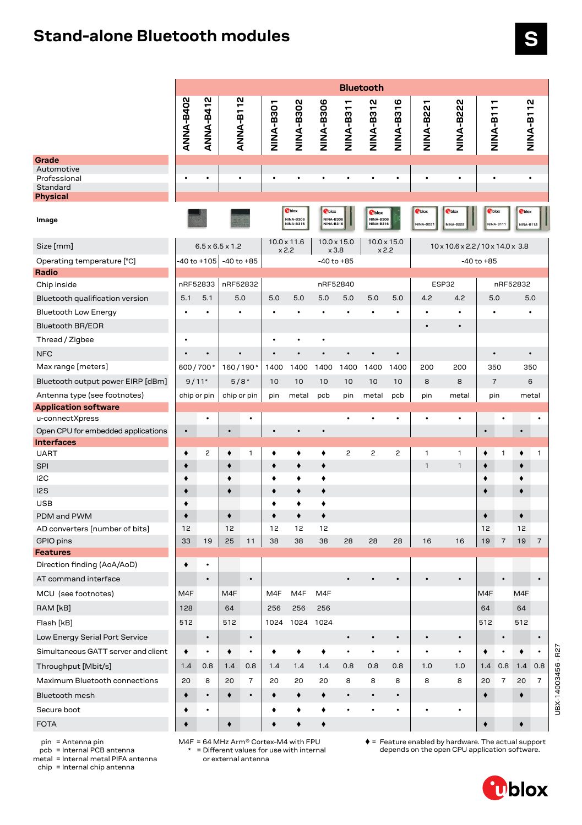## **Stand-alone Bluetooth modules**

|                                     | <b>Bluetooth</b> |                  |                             |           |                  |                                      |                                      |                  |                                                       |                |                 |                   |                |                                   |                  |                |
|-------------------------------------|------------------|------------------|-----------------------------|-----------|------------------|--------------------------------------|--------------------------------------|------------------|-------------------------------------------------------|----------------|-----------------|-------------------|----------------|-----------------------------------|------------------|----------------|
|                                     |                  |                  |                             |           |                  |                                      |                                      |                  |                                                       |                |                 |                   | ٣              |                                   |                  |                |
|                                     | <b>ANNA-B402</b> | <b>ANNA-B412</b> | ANNA-B112                   |           | <b>NINA-B301</b> | NINA-B302                            | NINA-B306                            | <b>TIES-ANIN</b> | <b>NINA-B312</b>                                      | NINA-B316      | <b>NINA-B22</b> | <b>NINA-B222</b>  | NINA-B11       |                                   | NINA-B112        |                |
|                                     |                  |                  |                             |           |                  |                                      |                                      |                  |                                                       |                |                 |                   |                |                                   |                  |                |
|                                     |                  |                  |                             |           |                  |                                      |                                      |                  |                                                       |                |                 |                   |                |                                   |                  |                |
| Grade<br>Automotive                 |                  |                  |                             |           |                  |                                      |                                      |                  |                                                       |                |                 |                   |                |                                   |                  |                |
| Professional                        | ٠                |                  |                             |           | $\bullet$        | $\bullet$                            |                                      |                  |                                                       |                | $\bullet$       |                   |                |                                   |                  |                |
| Standard<br><b>Physical</b>         |                  |                  |                             |           |                  |                                      |                                      |                  |                                                       |                |                 |                   |                |                                   |                  |                |
|                                     |                  |                  |                             |           |                  | <b>T</b> blox                        | <b>O</b> blox                        |                  |                                                       |                | <b>O</b> blox   | <b>T</b> blox     | <b>T</b> blox  |                                   | <b>P</b> blox    |                |
| Image                               |                  |                  |                             |           |                  | <b>NINA-B306</b><br><b>NINA-B316</b> | <b>NINA-B306</b><br><b>NINA-B316</b> |                  | <b>T</b> blox<br><b>NINA-B306</b><br><b>NINA-B316</b> |                | NINA-B221       | NINA-B222         |                | NINA-B111                         | <b>NINA-B112</b> |                |
| Size [mm]                           |                  |                  | $6.5 \times 6.5 \times 1.2$ |           | x 2.2            | $10.0 \times 11.6$                   | $10.0 \times 15.0$<br>x 3.8          |                  | $10.0 \times 15.0$<br>x 2.2                           |                |                 |                   |                | 10 x 10.6 x 2.2 / 10 x 14.0 x 3.8 |                  |                |
| Operating temperature [°C]          |                  | $-40$ to $+105$  | $-40$ to $+85$              |           |                  |                                      | $-40$ to $+85$                       |                  |                                                       |                |                 |                   | $-40$ to $+85$ |                                   |                  |                |
| Radio                               |                  |                  |                             |           |                  |                                      |                                      |                  |                                                       |                |                 |                   |                |                                   |                  |                |
| Chip inside                         | nRF52833         |                  | nRF52832                    |           |                  |                                      | nRF52840                             |                  |                                                       |                |                 | ESP32             |                |                                   | nRF52832         |                |
| Bluetooth qualification version     | 5.1              | 5.1              | 5.0                         |           | 5.0              | 5.0                                  | 5.0                                  | 5.0              | 5.0                                                   | 5.0            | 4.2             | 4.2               | 5.0            |                                   | 5.0              |                |
| <b>Bluetooth Low Energy</b>         |                  |                  |                             |           |                  |                                      |                                      |                  |                                                       |                | $\bullet$       |                   |                |                                   |                  |                |
| <b>Bluetooth BR/EDR</b>             |                  |                  |                             |           |                  |                                      |                                      |                  |                                                       |                |                 |                   |                |                                   |                  |                |
| Thread / Zigbee                     | $\bullet$        |                  |                             |           | $\bullet$        | $\bullet$                            | $\bullet$                            |                  |                                                       |                |                 |                   |                |                                   |                  |                |
| <b>NFC</b>                          | $\bullet$        | $\bullet$        |                             |           | $\bullet$        | $\bullet$                            | $\bullet$                            |                  |                                                       | $\bullet$      |                 |                   | $\bullet$      |                                   | $\bullet$        |                |
| Max range [meters]                  | 600/700*         |                  | 160/190*                    |           | 1400             | 1400                                 | 1400                                 | 1400             | 1400                                                  | 1400           | 200             | 200               | 350            |                                   | 350              |                |
| Bluetooth output power EIRP [dBm]   | $9/11*$          |                  | $5/8*$                      |           | 10               | 10                                   | 10                                   | 10               | 10                                                    | 10             | 8               | 8                 | $\overline{7}$ |                                   | 6                |                |
| Antenna type (see footnotes)        | chip or pin      |                  | chip or pin                 |           | pin              | metal                                | pcb                                  | pin              | metal                                                 | pcb            | pin             | metal             | pin            | metal                             |                  |                |
| <b>Application software</b>         |                  |                  |                             |           |                  |                                      |                                      |                  |                                                       |                |                 |                   |                |                                   |                  |                |
| u-connectXpress                     |                  |                  |                             | $\bullet$ |                  |                                      |                                      | $\bullet$        |                                                       | ٠              | $\bullet$       | ٠                 |                |                                   |                  | $\bullet$      |
| Open CPU for embedded applications  |                  |                  |                             |           |                  |                                      |                                      |                  |                                                       |                |                 |                   |                |                                   |                  |                |
| <b>Interfaces</b>                   |                  | $\overline{c}$   |                             |           |                  |                                      |                                      | $\overline{c}$   | 2                                                     | $\overline{c}$ | 1               |                   |                |                                   |                  | $\mathbf{1}$   |
| <b>UART</b>                         | ٠                |                  | ٠                           | 1         | ٠<br>۰           | ٠<br>٠                               | ٠<br>٠                               |                  |                                                       |                | $\mathbf{1}$    | 1<br>$\mathbf{1}$ | ٠<br>٠         | 1                                 | ٠                |                |
| <b>SPI</b><br>I <sub>2</sub> C      | ٠<br>٠           |                  | ٠<br>٠                      |           | ٠                | ٠                                    | ٠                                    |                  |                                                       |                |                 |                   | ٠              |                                   | ٠<br>۰           |                |
| 12S                                 | ٠                |                  | ٠                           |           | ٠                | ٠                                    | ٠                                    |                  |                                                       |                |                 |                   | ٠              |                                   | $\bullet$        |                |
| <b>USB</b>                          | ٠                |                  |                             |           | ٠                | ٠                                    | ٠                                    |                  |                                                       |                |                 |                   |                |                                   |                  |                |
| PDM and PWM                         | ۰                |                  | ۰                           |           | ۰                | ٠                                    | ٠                                    |                  |                                                       |                |                 |                   | ٠              |                                   | $\blacklozenge$  |                |
| AD converters [number of bits]      | 12               |                  | 12                          |           | 12               | 12                                   | 12                                   |                  |                                                       |                |                 |                   | 12             |                                   | 12               |                |
| GPIO pins                           | 33               | 19               | 25                          | 11        | 38               | 38                                   | 38                                   | 28               | 28                                                    | 28             | 16              | 16                | 19             | $\overline{7}$                    | 19               | $\overline{7}$ |
| <b>Features</b>                     |                  |                  |                             |           |                  |                                      |                                      |                  |                                                       |                |                 |                   |                |                                   |                  |                |
| Direction finding (AoA/AoD)         | ٠                | ٠                |                             |           |                  |                                      |                                      |                  |                                                       |                |                 |                   |                |                                   |                  |                |
| AT command interface                |                  |                  |                             | $\bullet$ |                  |                                      |                                      |                  |                                                       |                |                 |                   |                |                                   |                  | $\bullet$      |
| MCU (see footnotes)                 | M4F              |                  | M4F                         |           | M4F              | M4F                                  | M4F                                  |                  |                                                       |                |                 |                   | M4F            |                                   | M4F              |                |
| RAM [kB]                            | 128              |                  | 64                          |           | 256              | 256                                  | 256                                  |                  |                                                       |                |                 |                   | 64             |                                   | 64               |                |
| Flash [kB]                          | 512              |                  | 512                         |           |                  | 1024 1024 1024                       |                                      |                  |                                                       |                |                 |                   | 512            |                                   | 512              |                |
| Low Energy Serial Port Service      |                  | $\bullet$        |                             | $\bullet$ |                  |                                      |                                      | $\bullet$        | $\bullet$                                             | $\bullet$      | $\bullet$       | $\bullet$         |                | $\bullet$                         |                  | $\bullet$      |
| Simultaneous GATT server and client | ٠                | $\bullet$        | ٠                           | $\bullet$ | ٠                | ٠                                    | ٠                                    | ٠                | $\bullet$                                             | ٠              | $\bullet$       | $\bullet$         | ٠              | ٠                                 | ٠                | $\bullet$      |
| Throughput [Mbit/s]                 | 1.4              | 0.8              | 1.4                         | 0.8       | 1.4              | 1.4                                  | 1.4                                  | 0.8              | 0.8                                                   | 0.8            | 1.0             | 1.0               | 1.4            | 0.8                               | 1.4              | 0.8            |
| Maximum Bluetooth connections       | 20               | 8                | 20                          | 7         | 20               | 20                                   | 20                                   | 8                | 8                                                     | 8              | 8               | 8                 | 20             | $\overline{7}$                    | 20               | $\overline{7}$ |
| Bluetooth mesh                      | ٠                |                  | ٠                           |           | ٠                | ٠                                    | ٠                                    | $\bullet$        | $\bullet$                                             | $\bullet$      |                 |                   | $\bullet$      |                                   | ۰                |                |
| Secure boot                         | ٠                |                  |                             |           | ٠                | ٠                                    | ٠                                    | $\bullet$        | $\bullet$                                             | $\bullet$      | $\bullet$       | $\bullet$         |                |                                   |                  |                |
| <b>FOTA</b>                         | ٠                |                  | ٠                           |           |                  | ٠                                    | ٠                                    |                  |                                                       |                |                 |                   | ٠              |                                   | ٠                |                |
|                                     |                  |                  |                             |           |                  |                                      |                                      |                  |                                                       |                |                 |                   |                |                                   |                  |                |

pin = Antenna pin pcb = Internal PCB antenna

metal = Internal metal PIFA antenna

chip = Internal chip antenna

M4F = 64 MHz Arm® Cortex-M4 with FPU \* = Different values for use with internal or external antenna

= Feature enabled by hardware. The actual support depends on the open CPU application software.



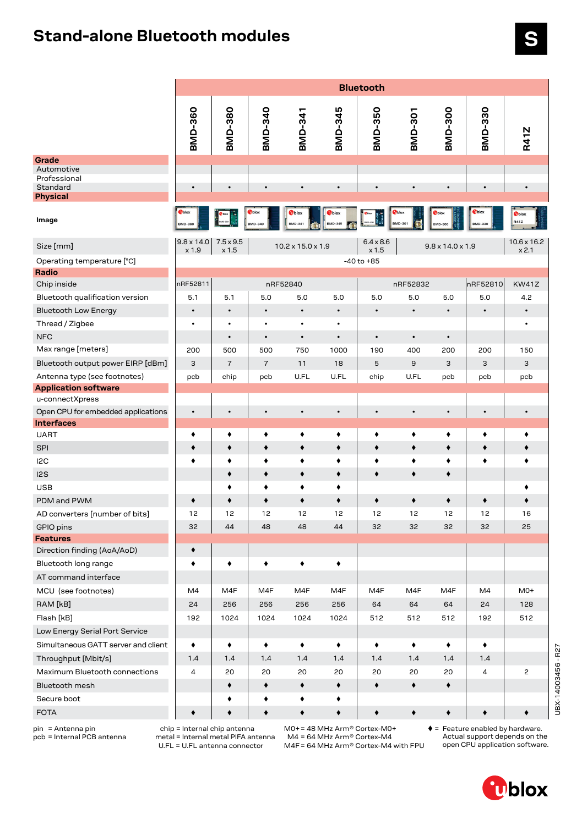## **Stand-alone Bluetooth modules**

|                                        | <b>Bluetooth</b>               |                           |                 |                                 |                                |                           |                 |                              |                |                             |  |  |  |
|----------------------------------------|--------------------------------|---------------------------|-----------------|---------------------------------|--------------------------------|---------------------------|-----------------|------------------------------|----------------|-----------------------------|--|--|--|
|                                        | <b>BMD-360</b>                 | <b>BMD-380</b>            | BMD-340         | <b>BMD-341</b>                  | BMD-345                        | <b>BMD-350</b>            | <b>BMD-301</b>  | <b>BMD-300</b>               | BMD-330        | <b>R41Z</b>                 |  |  |  |
| Grade                                  |                                |                           |                 |                                 |                                |                           |                 |                              |                |                             |  |  |  |
| Automotive<br>Professional<br>Standard | $\bullet$                      | $\bullet$                 | $\bullet$       |                                 | $\bullet$                      | $\bullet$                 | $\bullet$       | $\bullet$                    | $\bullet$      | $\bullet$                   |  |  |  |
| Physical                               |                                |                           |                 |                                 |                                |                           |                 |                              |                |                             |  |  |  |
| Image                                  | <b>T</b> blo<br><b>BMD-360</b> |                           | <b>BMD-340</b>  | <b>T</b> blox<br><b>BMD-341</b> | <b>Oblox</b><br><b>BMD-345</b> |                           | MD-30           | IMD-30                       | <b>BMD-330</b> | <b>T</b> blo<br><b>R41Z</b> |  |  |  |
| Size [mm]                              | $9.8 \times 14.0$<br>x 1.9     | $7.5 \times 9.5$<br>x 1.5 |                 | $10.2 \times 15.0 \times 1.9$   |                                | $6.4 \times 8.6$<br>x 1.5 |                 | $9.8 \times 14.0 \times 1.9$ |                | $10.6 \times 16.2$<br>x 2.1 |  |  |  |
| Operating temperature [°C]             |                                |                           |                 |                                 |                                | $-40$ to $+85$            |                 |                              |                |                             |  |  |  |
| Radio                                  |                                |                           |                 |                                 |                                |                           |                 |                              |                |                             |  |  |  |
| Chip inside                            | nRF52811                       |                           |                 | nRF52840                        |                                |                           | nRF52832        |                              | nRF52810       | <b>KW41Z</b>                |  |  |  |
| Bluetooth qualification version        | 5.1                            | 5.1                       | 5.0             | 5.0                             | 5.0                            | 5.0                       | 5.0             | 5.0                          | 5.0            | 4.2                         |  |  |  |
| <b>Bluetooth Low Energy</b>            | $\bullet$                      | $\bullet$                 | $\bullet$       | $\bullet$                       | $\bullet$                      | $\bullet$                 | $\bullet$       | $\bullet$                    | $\bullet$      | $\bullet$                   |  |  |  |
| Thread / Zigbee                        |                                | ٠                         | ٠               | $\bullet$                       | ٠                              |                           |                 |                              |                | ٠                           |  |  |  |
| <b>NFC</b>                             |                                | $\bullet$                 | $\bullet$       | $\bullet$                       | $\bullet$                      | $\bullet$                 | $\bullet$       | $\bullet$                    |                |                             |  |  |  |
| Max range [meters]                     | 200                            | 500                       | 500             | 750                             | 1000                           | 190                       | 400             | 200                          | 200            | 150                         |  |  |  |
| Bluetooth output power EIRP [dBm]      | 3                              | $\overline{7}$            | $\overline{7}$  | 11                              | 18                             | 5                         | $\mathsf g$     | 3                            | 3              | 3                           |  |  |  |
| Antenna type (see footnotes)           | pcb                            | chip                      | pcb             | U.FL                            | U.FL                           | chip                      | U.FL            | pcb                          | pcb            | pcb                         |  |  |  |
| <b>Application software</b>            |                                |                           |                 |                                 |                                |                           |                 |                              |                |                             |  |  |  |
| u-connectXpress                        |                                |                           |                 |                                 |                                |                           |                 |                              |                |                             |  |  |  |
| Open CPU for embedded applications     | $\bullet$                      | $\bullet$                 | $\bullet$       | $\bullet$                       | $\bullet$                      | $\bullet$                 | $\bullet$       | $\bullet$                    | $\bullet$      | $\bullet$                   |  |  |  |
| <b>Interfaces</b>                      |                                |                           |                 |                                 |                                |                           |                 |                              |                |                             |  |  |  |
| <b>UART</b>                            | ٠                              | ٠                         | ٠               | ٠                               | ٠                              | ٠                         | ٠               | ٠                            | ٠              | ٠                           |  |  |  |
| <b>SPI</b>                             |                                | ٠                         | ٠               | ٠                               | ٠                              | ٠                         | ٠               | ٠                            | ٠              | ٠                           |  |  |  |
| I2C                                    | ٠                              | ٠                         | ٠               | ٠                               | ٠                              | ٠                         | ٠               | ٠                            | ٠              | ٠                           |  |  |  |
| 12S                                    |                                | ٠                         | ٠               | ۰                               | ٠                              | ٠                         | ٠               | ۰                            |                |                             |  |  |  |
| USB                                    |                                | ٠                         | ٠               | ٠                               | ٠                              |                           |                 |                              |                | ٠                           |  |  |  |
| PDM and PWM                            | ٠                              | ٠                         | ۰               | $\blacklozenge$                 | ٠                              | ٠                         | $\blacklozenge$ | ۰                            | ٠              | ۰                           |  |  |  |
| AD converters [number of bits]         | 12                             | 12                        | 12              | 12                              | 12                             | 12                        | 12              | 12                           | 12             | 16                          |  |  |  |
| GPIO pins                              | 32                             | 44                        | 48              | 48                              | 44                             | 32                        | 32              | 32                           | 32             | 25                          |  |  |  |
| <b>Features</b>                        |                                |                           |                 |                                 |                                |                           |                 |                              |                |                             |  |  |  |
| Direction finding (AoA/AoD)            | ٠                              |                           |                 |                                 |                                |                           |                 |                              |                |                             |  |  |  |
| Bluetooth long range                   | ٠                              | ٠                         | ٠               | ٠                               | ٠                              |                           |                 |                              |                |                             |  |  |  |
| AT command interface                   |                                |                           |                 |                                 |                                |                           |                 |                              |                |                             |  |  |  |
| MCU (see footnotes)                    | M4                             | M4F                       | M4F             | M4F                             | M4F                            | M4F                       | M4F             | M4F                          | M4             | $M0+$                       |  |  |  |
| RAM [kB]                               | 24                             | 256                       | 256             | 256                             | 256                            | 64                        | 64              | 64                           | 24             | 128                         |  |  |  |
| Flash [kB]                             | 192                            | 1024                      | 1024            | 1024                            | 1024                           | 512                       | 512             | 512                          | 192            | 512                         |  |  |  |
| Low Energy Serial Port Service         |                                |                           |                 |                                 |                                |                           |                 |                              |                |                             |  |  |  |
| Simultaneous GATT server and client    | ٠                              | ٠                         | ٠               | ٠                               | ٠                              | ٠                         | ٠               | ٠                            | ٠              |                             |  |  |  |
| Throughput [Mbit/s]                    | 1.4                            | 1.4                       | 1.4             | 1.4                             | 1.4                            | 1.4                       | 1.4             | 1.4                          | 1.4            |                             |  |  |  |
| Maximum Bluetooth connections          | 4                              | 20                        | 20              | 20                              | 20                             | 20                        | 20              | 20                           | 4              | 2                           |  |  |  |
| Bluetooth mesh                         |                                | ٠                         | ٠               | ۰                               | ٠                              | ٠                         | $\blacklozenge$ | ٠                            |                |                             |  |  |  |
| Secure boot                            |                                | ٠                         | ٠               | ٠                               | ٠                              |                           |                 |                              |                |                             |  |  |  |
| <b>FOTA</b>                            | ۰                              | ٠                         | $\blacklozenge$ | $\blacklozenge$                 | ٠                              | ٠                         | $\blacklozenge$ | ٠                            | ٠              |                             |  |  |  |
|                                        |                                |                           |                 |                                 |                                |                           |                 |                              |                |                             |  |  |  |

pin = Antenna pin pcb = Internal PCB antenna

 chip = Internal chip antenna metal = Internal metal PIFA antenna U.FL = U.FL antenna connector

M0+= 48 MHz Arm® Cortex-M0+

M4 = 64 MHz Arm® Cortex-M4 M4F= 64 MHz Arm® Cortex-M4 with FPU

= Feature enabled by hardware. Actual support depends on the open CPU application software.

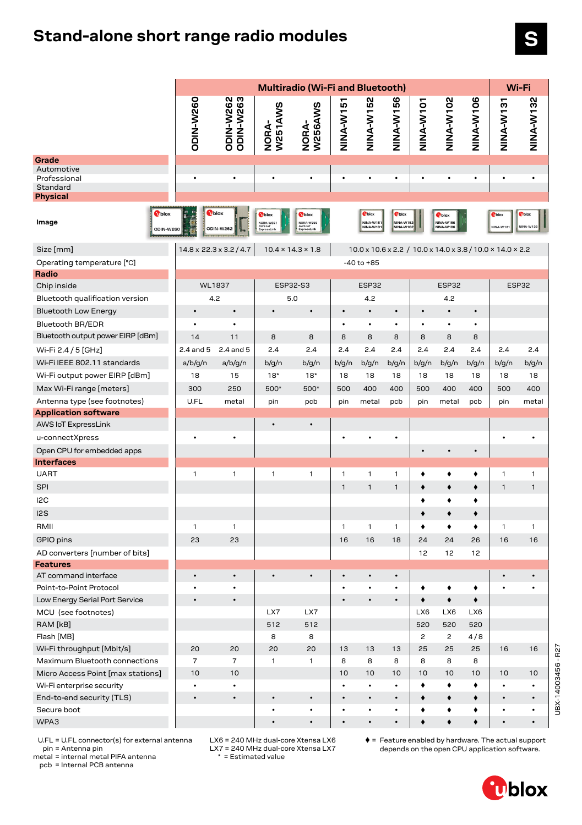## **Stand-alone short range radio modules**

|                                                           | Multiradio (Wi-Fi and Bluetooth) |                                     |                                                      |                                                      |                             |                                        |                                                |                |                                         |           | Wi-Fi                                                     |                            |  |
|-----------------------------------------------------------|----------------------------------|-------------------------------------|------------------------------------------------------|------------------------------------------------------|-----------------------------|----------------------------------------|------------------------------------------------|----------------|-----------------------------------------|-----------|-----------------------------------------------------------|----------------------------|--|
|                                                           | <b>ODIN-W260</b>                 | <b>ODIN-W262</b><br>ODIN-W263       | W251AWS<br>NORA-                                     | W256AWS<br>NORA-                                     | <u>r</u><br><b>TW-A-WIN</b> | <b>NINA-W152</b>                       | 56<br><b>T<br/>NHA-NH</b>                      | NINA-W101      | NINA-W102                               | NINA-W106 | NINA-W131                                                 | <b>NINA-W132</b>           |  |
| Grade                                                     |                                  |                                     |                                                      |                                                      |                             |                                        |                                                |                |                                         |           |                                                           |                            |  |
| Automotive<br>Professional<br>Standard<br><b>Physical</b> | $\bullet$                        | $\bullet$                           | $\bullet$                                            | $\bullet$                                            | $\bullet$                   | $\bullet$                              | $\bullet$                                      | $\bullet$      | $\bullet$                               | $\bullet$ | $\bullet$                                                 | $\bullet$                  |  |
| <b>T</b> blox<br>Image<br>ODIN-W260                       | F<br>$\frac{1}{2}$               | <b>Oblox</b><br>ODIN-W262           | <b>T</b> blox<br>NORA-W251<br>AWS IoT<br>ExpressLink | <b>T</b> blox<br>NORA-W256<br>AWS IoT<br>ExpressLink |                             | <b>O</b> blox<br>NINA-W15<br>NINA-W101 | <b>T</b> blox<br><b>NINA-W152</b><br>NINA-W102 |                | <b>T</b> blox<br>NINA-W156<br>NINA-W106 |           | Cblox<br>NINA-W13                                         | <b>P</b> blox<br>NINA-W132 |  |
| Size [mm]                                                 |                                  | $14.8 \times 22.3 \times 3.2 / 4.7$ |                                                      | $10.4 \times 14.3 \times 1.8$                        |                             |                                        |                                                |                |                                         |           | 10.0 x 10.6 x 2.2 / 10.0 x 14.0 x 3.8 / 10.0 x 14.0 x 2.2 |                            |  |
| Operating temperature [°C]                                |                                  |                                     |                                                      |                                                      |                             | $-40$ to $+85$                         |                                                |                |                                         |           |                                                           |                            |  |
| Radio                                                     |                                  |                                     |                                                      |                                                      |                             |                                        |                                                |                |                                         |           |                                                           |                            |  |
| Chip inside                                               | <b>WL1837</b>                    |                                     | ESP32-S3                                             |                                                      |                             | ESP32                                  |                                                |                | ESP32                                   |           | ESP32                                                     |                            |  |
| Bluetooth qualification version                           |                                  | 4.2                                 | 5.0                                                  |                                                      |                             | 4.2                                    |                                                |                | 4.2                                     |           |                                                           |                            |  |
| <b>Bluetooth Low Energy</b>                               | $\bullet$                        | $\bullet$                           | $\bullet$                                            | $\bullet$                                            | $\bullet$                   | $\bullet$                              | $\bullet$                                      | $\bullet$      | $\bullet$                               | $\bullet$ |                                                           |                            |  |
| <b>Bluetooth BR/EDR</b>                                   | $\bullet$                        | $\bullet$                           |                                                      |                                                      | $\bullet$                   | $\bullet$                              | $\bullet$                                      | $\bullet$      | $\bullet$                               | $\bullet$ |                                                           |                            |  |
| Bluetooth output power EIRP [dBm]                         | 14                               | 11                                  | 8                                                    | 8                                                    | 8                           | 8                                      | 8                                              | 8              | 8                                       | 8         |                                                           |                            |  |
| Wi-Fi 2.4 / 5 [GHz]                                       | 2.4 and 5                        | 2.4 and 5                           | 2.4                                                  | 2.4                                                  | 2.4                         | 2.4                                    | 2.4                                            | 2.4            | 2.4                                     | 2.4       | 2.4                                                       | 2.4                        |  |
| Wi-Fi IEEE 802.11 standards                               | a/b/g/n                          | a/b/g/n                             | b/g/n                                                | b/g/n                                                | b/g/n                       | b/g/n                                  | b/g/n                                          | b/g/n          | b/g/n                                   | b/g/n     | b/g/n                                                     | b/g/n                      |  |
| Wi-Fi output power EIRP [dBm]                             | 18                               | 15                                  | $18*$                                                | $18*$                                                | 18                          | 18                                     | 18                                             | 18             | 18                                      | 18        | 18                                                        | 18                         |  |
| Max Wi-Fi range [meters]                                  | 300                              | 250                                 | 500*                                                 | 500*                                                 | 500                         | 400                                    | 400                                            | 500            | 400                                     | 400       | 500                                                       | 400                        |  |
| Antenna type (see footnotes)                              | U.FL                             | metal                               | pin                                                  | pcb                                                  | pin                         | metal                                  | pcb                                            | pin            | metal                                   | pcb       | pin                                                       | metal                      |  |
| <b>Application software</b>                               |                                  |                                     |                                                      |                                                      |                             |                                        |                                                |                |                                         |           |                                                           |                            |  |
| AWS IoT ExpressLink                                       |                                  |                                     |                                                      | $\bullet$                                            |                             |                                        |                                                |                |                                         |           |                                                           |                            |  |
| u-connectXpress                                           |                                  |                                     |                                                      |                                                      |                             |                                        | $\bullet$                                      |                |                                         |           |                                                           |                            |  |
| Open CPU for embedded apps                                |                                  |                                     |                                                      |                                                      |                             |                                        |                                                | $\bullet$      | $\bullet$                               |           |                                                           |                            |  |
| <b>Interfaces</b>                                         |                                  |                                     |                                                      |                                                      |                             |                                        |                                                |                |                                         |           |                                                           |                            |  |
| <b>UART</b>                                               | 1                                | 1                                   | 1                                                    | 1                                                    | 1                           | 1                                      | 1                                              | ٠              | ٠                                       | ٠         | 1                                                         | 1                          |  |
| <b>SPI</b>                                                |                                  |                                     |                                                      |                                                      | 1                           | $\mathbf{1}$                           | $\mathbf{1}$                                   | ٠              | ٠                                       | ٠         | $\mathbf{1}$                                              | $\mathbf{1}$               |  |
| I <sub>2C</sub>                                           |                                  |                                     |                                                      |                                                      |                             |                                        |                                                | ٠              | ٠                                       | ٠         |                                                           |                            |  |
| 12S                                                       |                                  |                                     |                                                      |                                                      |                             |                                        |                                                | ٠              | ٠                                       | ٠         |                                                           |                            |  |
| RMII                                                      | $\mathbf{1}$                     | $\mathbf{1}$                        |                                                      |                                                      | 1                           | 1                                      | 1                                              | ٠              | ٠                                       | ٠         | $\mathbf{1}$                                              | 1                          |  |
| GPIO pins                                                 | 23                               | 23                                  |                                                      |                                                      | 16                          | 16                                     | 18                                             | 24             | 24                                      | 26        | 16                                                        | 16                         |  |
| AD converters [number of bits]                            |                                  |                                     |                                                      |                                                      |                             |                                        |                                                | 12             | 12                                      | 12        |                                                           |                            |  |
| <b>Features</b>                                           |                                  |                                     |                                                      |                                                      |                             |                                        |                                                |                |                                         |           |                                                           |                            |  |
| AT command interface                                      |                                  |                                     |                                                      |                                                      |                             |                                        | $\bullet$                                      |                |                                         |           |                                                           |                            |  |
| Point-to-Point Protocol                                   |                                  |                                     |                                                      |                                                      |                             |                                        |                                                |                |                                         |           |                                                           |                            |  |
| Low Energy Serial Port Service                            |                                  |                                     |                                                      |                                                      |                             |                                        |                                                |                |                                         |           |                                                           |                            |  |
| MCU (see footnotes)                                       |                                  |                                     | LX7                                                  | LX7                                                  |                             |                                        |                                                | LX6            | LX6                                     | LX6       |                                                           |                            |  |
| RAM [kB]                                                  |                                  |                                     | 512                                                  | 512                                                  |                             |                                        |                                                | 520            | 520                                     | 520       |                                                           |                            |  |
| Flash [MB]                                                |                                  |                                     | 8                                                    | 8                                                    |                             |                                        |                                                | $\overline{c}$ | $\mathbf{2}$                            | 4/8       |                                                           |                            |  |
| Wi-Fi throughput [Mbit/s]                                 | 20                               | 20                                  | 20                                                   | 20                                                   | 13                          | 13                                     | 13                                             | 25             | 25                                      | 25        | 16                                                        | 16                         |  |
| Maximum Bluetooth connections                             | $\overline{7}$                   | $\overline{7}$                      | 1                                                    | $\mathbf{1}$                                         | 8                           | 8                                      | 8                                              | 8              | 8                                       | 8         |                                                           |                            |  |
| Micro Access Point [max stations]                         | 10                               | 10                                  |                                                      |                                                      | 10                          | 10                                     | 10                                             | 10             | 10                                      | 10        | 10                                                        | 10                         |  |
| Wi-Fi enterprise security                                 | $\bullet$                        | $\bullet$                           |                                                      |                                                      | $\bullet$                   | $\bullet$                              | $\bullet$                                      | ٠              | ٠                                       | ٠         | $\bullet$                                                 | $\bullet$                  |  |
| End-to-end security (TLS)                                 | $\bullet$                        | $\bullet$                           | $\bullet$<br>$\bullet$                               | $\bullet$<br>$\bullet$                               | $\bullet$                   | $\bullet$<br>$\bullet$                 | $\bullet$                                      | ۰              | $\blacklozenge$                         | ٠         | $\bullet$                                                 | $\bullet$                  |  |
| Secure boot<br>WPA3                                       |                                  |                                     | $\bullet$                                            | $\bullet$                                            | $\bullet$<br>$\bullet$      | $\bullet$                              | $\bullet$                                      | ٠<br>۰         | ٠<br>$\blacklozenge$                    | ٠<br>٠    | $\bullet$<br>$\bullet$                                    | ٠<br>$\bullet$             |  |
|                                                           |                                  |                                     |                                                      |                                                      |                             |                                        |                                                |                |                                         |           |                                                           |                            |  |

 U.FL = U.FL connector(s) for external antenna pin = Antenna pin

metal = internal metal PIFA antenna

 LX6 = 240 MHz dual-core Xtensa LX6 LX7 = 240 MHz dual-core Xtensa LX7  $* =$  Estimated value

 $\blacklozenge$  = Feature enabled by hardware. The actual support depends on the open CPU application software.

pcb = Internal PCB antenna



UBX-14003456 - R27

UBX-14003456-R27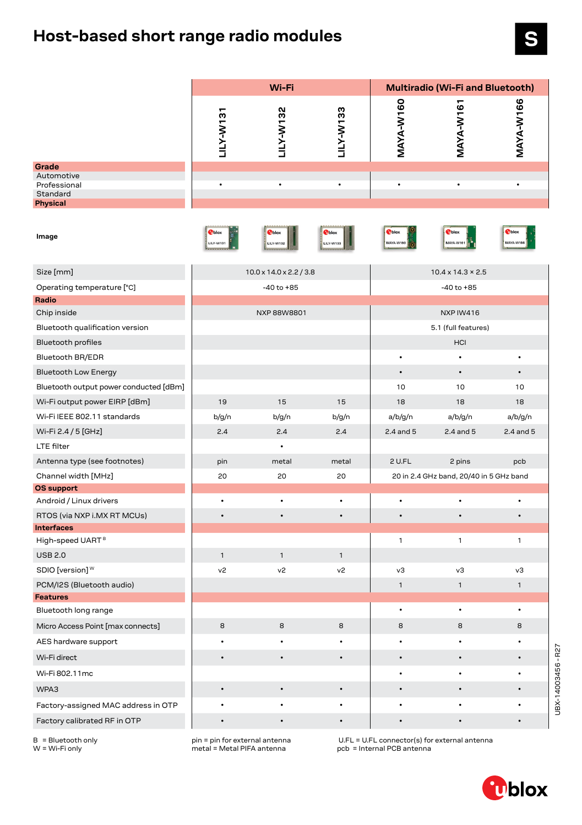# **Host-based short range radio modules**

|                                                  |                    | Wi-Fi                               |                            | Multiradio (Wi-Fi and Bluetooth) |                                         |               |  |  |  |  |
|--------------------------------------------------|--------------------|-------------------------------------|----------------------------|----------------------------------|-----------------------------------------|---------------|--|--|--|--|
|                                                  | LILY-W-131         | LILY-W132                           | LILY-W133                  | MAYA-W160                        | MAYA-W161                               | MAYA-W166     |  |  |  |  |
| Grade                                            |                    |                                     |                            |                                  |                                         |               |  |  |  |  |
| Automotive<br>Professional                       | $\bullet$          |                                     |                            | $\bullet$                        |                                         |               |  |  |  |  |
| Standard<br>Physical                             |                    |                                     |                            |                                  |                                         |               |  |  |  |  |
| Image                                            | Phlox<br>LILY-W131 | <b>O</b> blox<br><b>LILY-W132</b>   | <b>T</b> blox<br>LILY-W133 | <b>T</b> blox<br><b>AAYA-W</b>   | <b>T</b> blox<br>MAYA-W161              | <b>T</b> blox |  |  |  |  |
| Size [mm]                                        |                    | $10.0 \times 14.0 \times 2.2 / 3.8$ |                            |                                  | $10.4 \times 14.3 \times 2.5$           |               |  |  |  |  |
| Operating temperature [°C]                       |                    | $-40$ to $+85$                      |                            |                                  | $-40$ to $+85$                          |               |  |  |  |  |
| Radio                                            |                    |                                     |                            |                                  |                                         |               |  |  |  |  |
| Chip inside                                      |                    | NXP 88W8801                         |                            |                                  | NXP IW416                               |               |  |  |  |  |
| Bluetooth qualification version                  |                    |                                     |                            |                                  | 5.1 (full features)                     |               |  |  |  |  |
| <b>Bluetooth profiles</b>                        |                    |                                     |                            |                                  | HCI                                     |               |  |  |  |  |
| Bluetooth BR/EDR                                 |                    |                                     |                            | $\bullet$                        |                                         | $\bullet$     |  |  |  |  |
| <b>Bluetooth Low Energy</b>                      |                    |                                     |                            | $\bullet$                        | $\bullet$                               | $\bullet$     |  |  |  |  |
| Bluetooth output power conducted [dBm]           |                    |                                     |                            | 10                               | 10                                      | 10            |  |  |  |  |
| Wi-Fi output power EIRP [dBm]                    | 19                 | 15                                  | 15                         | 18                               | 18                                      | 18            |  |  |  |  |
| Wi-Fi IEEE 802.11 standards                      | b/g/n              | b/g/n                               | b/g/n                      | a/b/g/n                          | a/b/g/n                                 | a/b/g/n       |  |  |  |  |
| Wi-Fi 2.4 / 5 [GHz]                              | 2.4                | 2.4                                 | 2.4                        | $2.4$ and $5$                    | 2.4 and 5                               | $2.4$ and $5$ |  |  |  |  |
| LTE filter                                       |                    |                                     |                            |                                  |                                         |               |  |  |  |  |
| Antenna type (see footnotes)                     | pin                | metal                               | metal                      | 2 U.FL                           | 2 pins                                  | pcb           |  |  |  |  |
| Channel width [MHz]                              | 20                 | 20                                  | 20                         |                                  | 20 in 2.4 GHz band, 20/40 in 5 GHz band |               |  |  |  |  |
| <b>OS support</b>                                | $\bullet$          |                                     | $\bullet$                  | $\bullet$                        |                                         |               |  |  |  |  |
| Android / Linux drivers                          |                    |                                     |                            |                                  |                                         |               |  |  |  |  |
| RTOS (via NXP i.MX RT MCUs)<br><b>Interfaces</b> |                    |                                     | $\bullet$                  |                                  |                                         |               |  |  |  |  |
| High-speed UART <sup>B</sup>                     |                    |                                     |                            | 1                                | 1                                       | $\mathbf{1}$  |  |  |  |  |
| <b>USB 2.0</b>                                   | $\mathbf{1}$       | $\mathbf{1}$                        | $\mathbf{1}$               |                                  |                                         |               |  |  |  |  |
| SDIO [version] $W$                               | v <sub>2</sub>     | v2                                  | v <sub>2</sub>             | v3                               | vЗ                                      | vЗ            |  |  |  |  |
| PCM/I2S (Bluetooth audio)                        |                    |                                     |                            | 1                                | 1                                       | $\mathbf{1}$  |  |  |  |  |
| <b>Features</b>                                  |                    |                                     |                            |                                  |                                         |               |  |  |  |  |
| Bluetooth long range                             |                    |                                     |                            |                                  | ٠                                       | ٠             |  |  |  |  |
| Micro Access Point [max connects]                | 8                  | 8                                   | $\bf8$                     | 8                                | 8                                       | 8             |  |  |  |  |
| AES hardware support                             | ٠                  |                                     |                            |                                  |                                         |               |  |  |  |  |
| Wi-Fi direct                                     | $\bullet$          | $\bullet$                           | $\bullet$                  | $\bullet$                        | ٠                                       | $\bullet$     |  |  |  |  |
| Wi-Fi 802.11mc                                   |                    |                                     |                            |                                  |                                         |               |  |  |  |  |
| WPA3                                             | $\bullet$          | $\bullet$                           | $\bullet$                  | $\bullet$                        |                                         |               |  |  |  |  |
| Factory-assigned MAC address in OTP              | $\bullet$          |                                     |                            |                                  |                                         |               |  |  |  |  |
| Factory calibrated RF in OTP                     | $\bullet$          |                                     | $\bullet$                  | $\bullet$                        |                                         |               |  |  |  |  |

B = Bluetooth only W = Wi-Fi only

pin = pin for external antenna metal = Metal PIFA antenna

U.FL = U.FL connector(s) for external antenna pcb = Internal PCB antenna